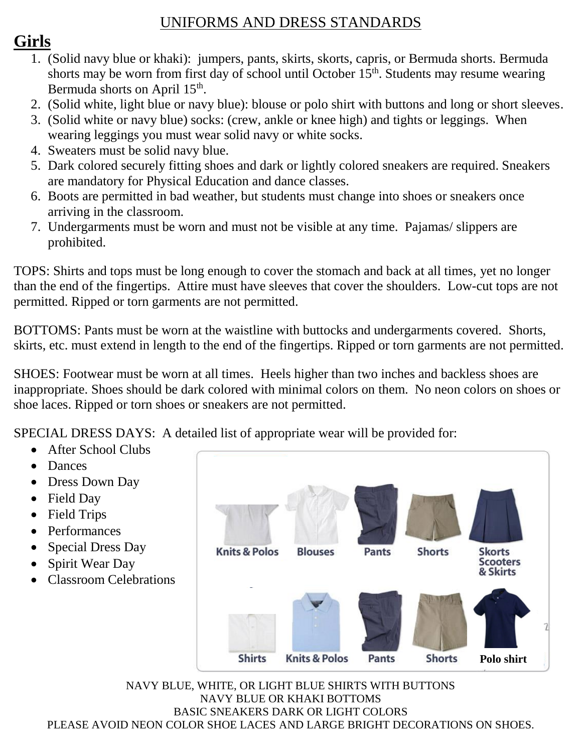## UNIFORMS AND DRESS STANDARDS

# **Girls**

- 1. (Solid navy blue or khaki): jumpers, pants, skirts, skorts, capris, or Bermuda shorts. Bermuda shorts may be worn from first day of school until October  $15<sup>th</sup>$ . Students may resume wearing Bermuda shorts on April 15<sup>th</sup>.
- 2. (Solid white, light blue or navy blue): blouse or polo shirt with buttons and long or short sleeves.
- 3. (Solid white or navy blue) socks: (crew, ankle or knee high) and tights or leggings. When wearing leggings you must wear solid navy or white socks.
- 4. Sweaters must be solid navy blue.
- 5. Dark colored securely fitting shoes and dark or lightly colored sneakers are required. Sneakers are mandatory for Physical Education and dance classes.
- 6. Boots are permitted in bad weather, but students must change into shoes or sneakers once arriving in the classroom.
- 7. Undergarments must be worn and must not be visible at any time. Pajamas/ slippers are prohibited.

TOPS: Shirts and tops must be long enough to cover the stomach and back at all times, yet no longer than the end of the fingertips. Attire must have sleeves that cover the shoulders. Low-cut tops are not permitted. Ripped or torn garments are not permitted.

BOTTOMS: Pants must be worn at the waistline with buttocks and undergarments covered. Shorts, skirts, etc. must extend in length to the end of the fingertips. Ripped or torn garments are not permitted.

SHOES: Footwear must be worn at all times. Heels higher than two inches and backless shoes are inappropriate. Shoes should be dark colored with minimal colors on them. No neon colors on shoes or shoe laces. Ripped or torn shoes or sneakers are not permitted.

SPECIAL DRESS DAYS: A detailed list of appropriate wear will be provided for:

- After School Clubs
- Dances
- Dress Down Day
- Field Day
- Field Trips
- Performances
- Special Dress Day
- Spirit Wear Day
- Classroom Celebrations



NAVY BLUE, WHITE, OR LIGHT BLUE SHIRTS WITH BUTTONS NAVY BLUE OR KHAKI BOTTOMS BASIC SNEAKERS DARK OR LIGHT COLORS PLEASE AVOID NEON COLOR SHOE LACES AND LARGE BRIGHT DECORATIONS ON SHOES.